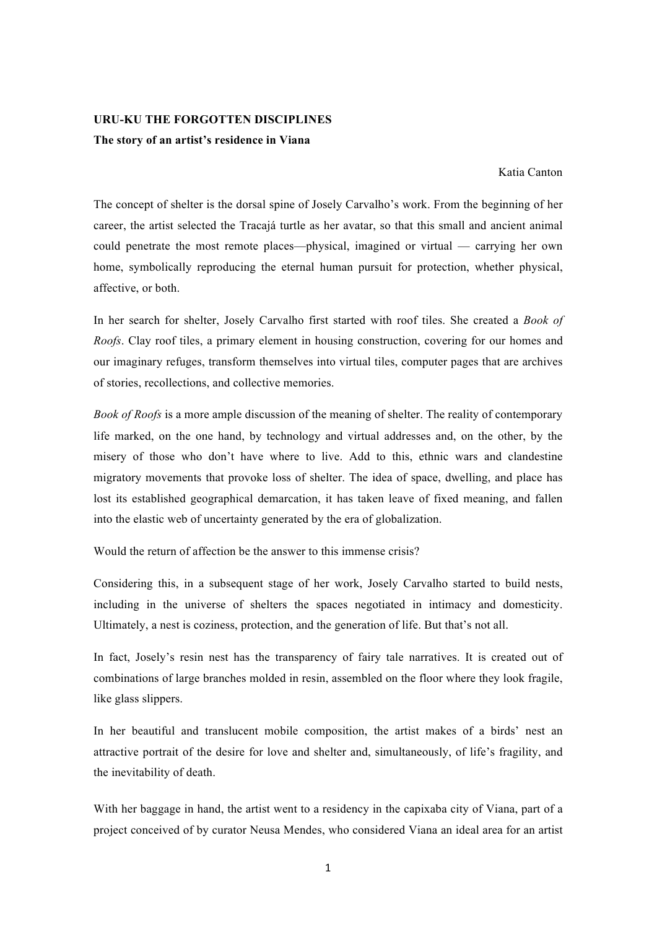## **URU-KU THE FORGOTTEN DISCIPLINES The story of an artist's residence in Viana**

Katia Canton

The concept of shelter is the dorsal spine of Josely Carvalho's work. From the beginning of her career, the artist selected the Tracajá turtle as her avatar, so that this small and ancient animal could penetrate the most remote places—physical, imagined or virtual — carrying her own home, symbolically reproducing the eternal human pursuit for protection, whether physical, affective, or both.

In her search for shelter, Josely Carvalho first started with roof tiles. She created a *Book of Roofs*. Clay roof tiles, a primary element in housing construction, covering for our homes and our imaginary refuges, transform themselves into virtual tiles, computer pages that are archives of stories, recollections, and collective memories.

*Book of Roofs* is a more ample discussion of the meaning of shelter. The reality of contemporary life marked, on the one hand, by technology and virtual addresses and, on the other, by the misery of those who don't have where to live. Add to this, ethnic wars and clandestine migratory movements that provoke loss of shelter. The idea of space, dwelling, and place has lost its established geographical demarcation, it has taken leave of fixed meaning, and fallen into the elastic web of uncertainty generated by the era of globalization.

Would the return of affection be the answer to this immense crisis?

Considering this, in a subsequent stage of her work, Josely Carvalho started to build nests, including in the universe of shelters the spaces negotiated in intimacy and domesticity. Ultimately, a nest is coziness, protection, and the generation of life. But that's not all.

In fact, Josely's resin nest has the transparency of fairy tale narratives. It is created out of combinations of large branches molded in resin, assembled on the floor where they look fragile, like glass slippers.

In her beautiful and translucent mobile composition, the artist makes of a birds' nest an attractive portrait of the desire for love and shelter and, simultaneously, of life's fragility, and the inevitability of death.

With her baggage in hand, the artist went to a residency in the capixaba city of Viana, part of a project conceived of by curator Neusa Mendes, who considered Viana an ideal area for an artist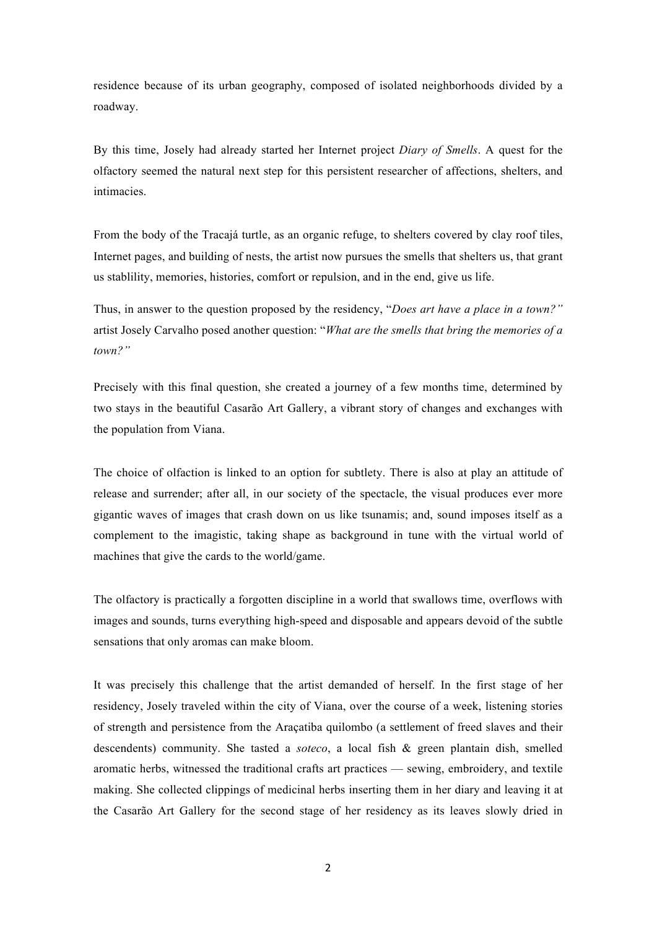residence because of its urban geography, composed of isolated neighborhoods divided by a roadway.

By this time, Josely had already started her Internet project *Diary of Smells*. A quest for the olfactory seemed the natural next step for this persistent researcher of affections, shelters, and intimacies.

From the body of the Tracajá turtle, as an organic refuge, to shelters covered by clay roof tiles, Internet pages, and building of nests, the artist now pursues the smells that shelters us, that grant us stablility, memories, histories, comfort or repulsion, and in the end, give us life.

Thus, in answer to the question proposed by the residency, "*Does art have a place in a town?"* artist Josely Carvalho posed another question: "*What are the smells that bring the memories of a town?"*

Precisely with this final question, she created a journey of a few months time, determined by two stays in the beautiful Casarão Art Gallery, a vibrant story of changes and exchanges with the population from Viana.

The choice of olfaction is linked to an option for subtlety. There is also at play an attitude of release and surrender; after all, in our society of the spectacle, the visual produces ever more gigantic waves of images that crash down on us like tsunamis; and, sound imposes itself as a complement to the imagistic, taking shape as background in tune with the virtual world of machines that give the cards to the world/game.

The olfactory is practically a forgotten discipline in a world that swallows time, overflows with images and sounds, turns everything high-speed and disposable and appears devoid of the subtle sensations that only aromas can make bloom.

It was precisely this challenge that the artist demanded of herself. In the first stage of her residency, Josely traveled within the city of Viana, over the course of a week, listening stories of strength and persistence from the Araçatiba quilombo (a settlement of freed slaves and their descendents) community. She tasted a *soteco*, a local fish & green plantain dish, smelled aromatic herbs, witnessed the traditional crafts art practices — sewing, embroidery, and textile making. She collected clippings of medicinal herbs inserting them in her diary and leaving it at the Casarão Art Gallery for the second stage of her residency as its leaves slowly dried in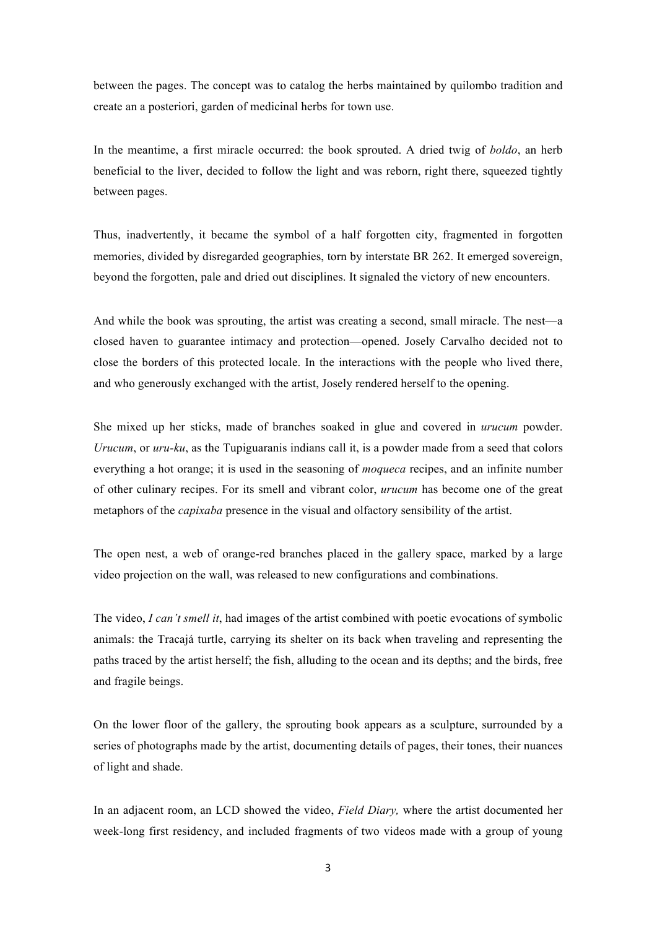between the pages. The concept was to catalog the herbs maintained by quilombo tradition and create an a posteriori, garden of medicinal herbs for town use.

In the meantime, a first miracle occurred: the book sprouted. A dried twig of *boldo*, an herb beneficial to the liver, decided to follow the light and was reborn, right there, squeezed tightly between pages.

Thus, inadvertently, it became the symbol of a half forgotten city, fragmented in forgotten memories, divided by disregarded geographies, torn by interstate BR 262. It emerged sovereign, beyond the forgotten, pale and dried out disciplines. It signaled the victory of new encounters.

And while the book was sprouting, the artist was creating a second, small miracle. The nest—a closed haven to guarantee intimacy and protection—opened. Josely Carvalho decided not to close the borders of this protected locale. In the interactions with the people who lived there, and who generously exchanged with the artist, Josely rendered herself to the opening.

She mixed up her sticks, made of branches soaked in glue and covered in *urucum* powder. *Urucum*, or *uru-ku*, as the Tupiguaranis indians call it, is a powder made from a seed that colors everything a hot orange; it is used in the seasoning of *moqueca* recipes, and an infinite number of other culinary recipes. For its smell and vibrant color, *urucum* has become one of the great metaphors of the *capixaba* presence in the visual and olfactory sensibility of the artist.

The open nest, a web of orange-red branches placed in the gallery space, marked by a large video projection on the wall, was released to new configurations and combinations.

The video, *I can't smell it*, had images of the artist combined with poetic evocations of symbolic animals: the Tracajá turtle, carrying its shelter on its back when traveling and representing the paths traced by the artist herself; the fish, alluding to the ocean and its depths; and the birds, free and fragile beings.

On the lower floor of the gallery, the sprouting book appears as a sculpture, surrounded by a series of photographs made by the artist, documenting details of pages, their tones, their nuances of light and shade.

In an adjacent room, an LCD showed the video, *Field Diary,* where the artist documented her week-long first residency, and included fragments of two videos made with a group of young